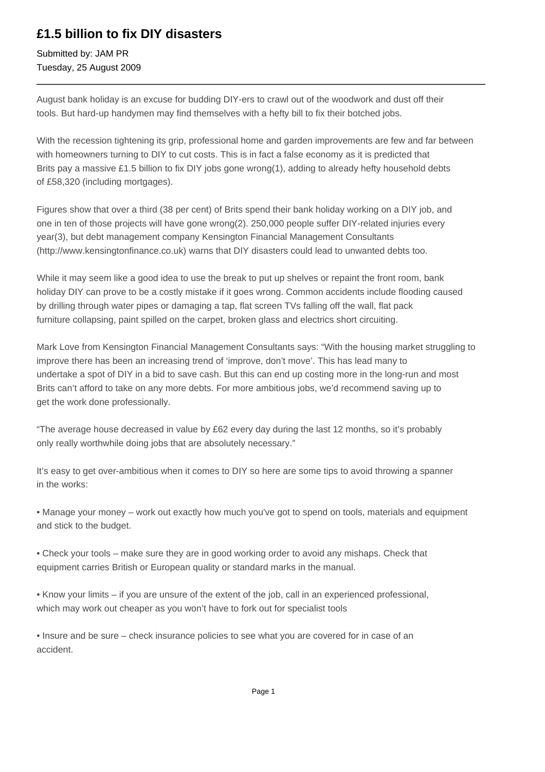## **£1.5 billion to fix DIY disasters**

Submitted by: JAM PR Tuesday, 25 August 2009

August bank holiday is an excuse for budding DIY-ers to crawl out of the woodwork and dust off their tools. But hard-up handymen may find themselves with a hefty bill to fix their botched jobs.

With the recession tightening its grip, professional home and garden improvements are few and far between with homeowners turning to DIY to cut costs. This is in fact a false economy as it is predicted that Brits pay a massive £1.5 billion to fix DIY jobs gone wrong(1), adding to already hefty household debts of £58,320 (including mortgages).

Figures show that over a third (38 per cent) of Brits spend their bank holiday working on a DIY job, and one in ten of those projects will have gone wrong(2). 250,000 people suffer DIY-related injuries every year(3), but debt management company Kensington Financial Management Consultants (http://www.kensingtonfinance.co.uk) warns that DIY disasters could lead to unwanted debts too.

While it may seem like a good idea to use the break to put up shelves or repaint the front room, bank holiday DIY can prove to be a costly mistake if it goes wrong. Common accidents include flooding caused by drilling through water pipes or damaging a tap, flat screen TVs falling off the wall, flat pack furniture collapsing, paint spilled on the carpet, broken glass and electrics short circuiting.

Mark Love from Kensington Financial Management Consultants says: "With the housing market struggling to improve there has been an increasing trend of 'improve, don't move'. This has lead many to undertake a spot of DIY in a bid to save cash. But this can end up costing more in the long-run and most Brits can't afford to take on any more debts. For more ambitious jobs, we'd recommend saving up to get the work done professionally.

"The average house decreased in value by £62 every day during the last 12 months, so it's probably only really worthwhile doing jobs that are absolutely necessary."

It's easy to get over-ambitious when it comes to DIY so here are some tips to avoid throwing a spanner in the works:

• Manage your money – work out exactly how much you've got to spend on tools, materials and equipment and stick to the budget.

• Check your tools – make sure they are in good working order to avoid any mishaps. Check that equipment carries British or European quality or standard marks in the manual.

• Know your limits – if you are unsure of the extent of the job, call in an experienced professional, which may work out cheaper as you won't have to fork out for specialist tools

• Insure and be sure – check insurance policies to see what you are covered for in case of an accident.